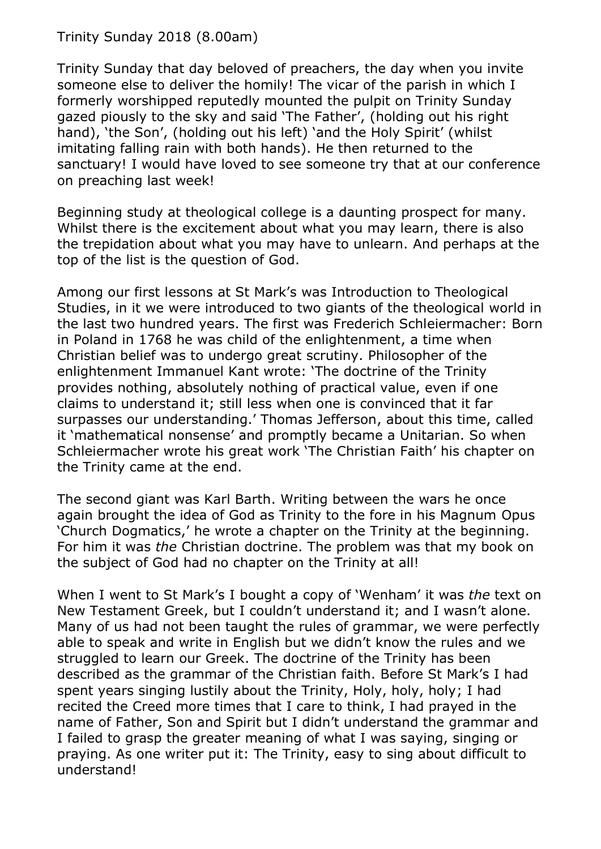Trinity Sunday 2018 (8.00am)

Trinity Sunday that day beloved of preachers, the day when you invite someone else to deliver the homily! The vicar of the parish in which I formerly worshipped reputedly mounted the pulpit on Trinity Sunday gazed piously to the sky and said 'The Father', (holding out his right hand), 'the Son', (holding out his left) 'and the Holy Spirit' (whilst imitating falling rain with both hands). He then returned to the sanctuary! I would have loved to see someone try that at our conference on preaching last week!

Beginning study at theological college is a daunting prospect for many. Whilst there is the excitement about what you may learn, there is also the trepidation about what you may have to unlearn. And perhaps at the top of the list is the question of God.

Among our first lessons at St Mark's was Introduction to Theological Studies, in it we were introduced to two giants of the theological world in the last two hundred years. The first was Frederich Schleiermacher: Born in Poland in 1768 he was child of the enlightenment, a time when Christian belief was to undergo great scrutiny. Philosopher of the enlightenment Immanuel Kant wrote: 'The doctrine of the Trinity provides nothing, absolutely nothing of practical value, even if one claims to understand it; still less when one is convinced that it far surpasses our understanding.' Thomas Jefferson, about this time, called it 'mathematical nonsense' and promptly became a Unitarian. So when Schleiermacher wrote his great work 'The Christian Faith' his chapter on the Trinity came at the end.

The second giant was Karl Barth. Writing between the wars he once again brought the idea of God as Trinity to the fore in his Magnum Opus 'Church Dogmatics,' he wrote a chapter on the Trinity at the beginning. For him it was *the* Christian doctrine. The problem was that my book on the subject of God had no chapter on the Trinity at all!

When I went to St Mark's I bought a copy of 'Wenham' it was *the* text on New Testament Greek, but I couldn't understand it; and I wasn't alone. Many of us had not been taught the rules of grammar, we were perfectly able to speak and write in English but we didn't know the rules and we struggled to learn our Greek. The doctrine of the Trinity has been described as the grammar of the Christian faith. Before St Mark's I had spent years singing lustily about the Trinity, Holy, holy, holy; I had recited the Creed more times that I care to think, I had prayed in the name of Father, Son and Spirit but I didn't understand the grammar and I failed to grasp the greater meaning of what I was saying, singing or praying. As one writer put it: The Trinity, easy to sing about difficult to understand!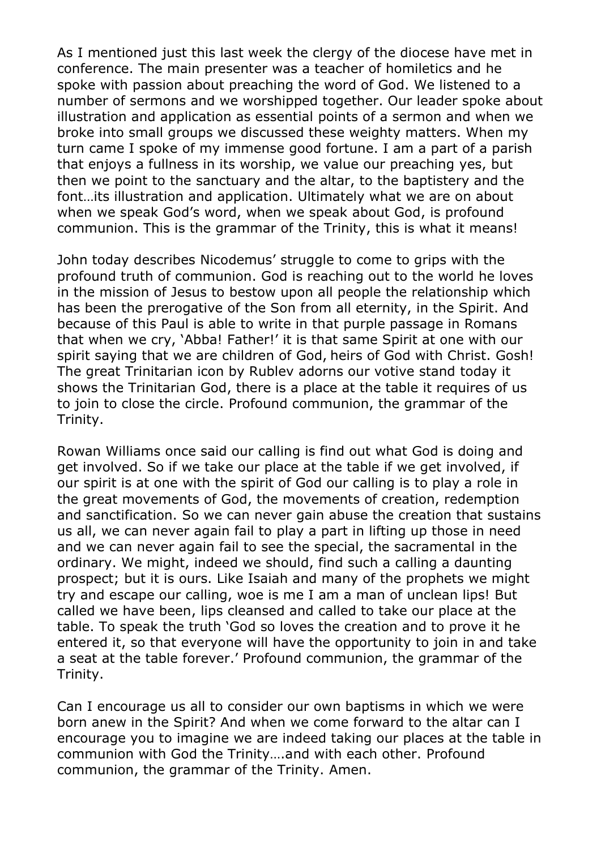As I mentioned just this last week the clergy of the diocese have met in conference. The main presenter was a teacher of homiletics and he spoke with passion about preaching the word of God. We listened to a number of sermons and we worshipped together. Our leader spoke about illustration and application as essential points of a sermon and when we broke into small groups we discussed these weighty matters. When my turn came I spoke of my immense good fortune. I am a part of a parish that enjoys a fullness in its worship, we value our preaching yes, but then we point to the sanctuary and the altar, to the baptistery and the font…its illustration and application. Ultimately what we are on about when we speak God's word, when we speak about God, is profound communion. This is the grammar of the Trinity, this is what it means!

John today describes Nicodemus' struggle to come to grips with the profound truth of communion. God is reaching out to the world he loves in the mission of Jesus to bestow upon all people the relationship which has been the prerogative of the Son from all eternity, in the Spirit. And because of this Paul is able to write in that purple passage in Romans that when we cry, 'Abba! Father!' it is that same Spirit at one with our spirit saying that we are children of God, heirs of God with Christ. Gosh! The great Trinitarian icon by Rublev adorns our votive stand today it shows the Trinitarian God, there is a place at the table it requires of us to join to close the circle. Profound communion, the grammar of the Trinity.

Rowan Williams once said our calling is find out what God is doing and get involved. So if we take our place at the table if we get involved, if our spirit is at one with the spirit of God our calling is to play a role in the great movements of God, the movements of creation, redemption and sanctification. So we can never gain abuse the creation that sustains us all, we can never again fail to play a part in lifting up those in need and we can never again fail to see the special, the sacramental in the ordinary. We might, indeed we should, find such a calling a daunting prospect; but it is ours. Like Isaiah and many of the prophets we might try and escape our calling, woe is me I am a man of unclean lips! But called we have been, lips cleansed and called to take our place at the table. To speak the truth 'God so loves the creation and to prove it he entered it, so that everyone will have the opportunity to join in and take a seat at the table forever.' Profound communion, the grammar of the Trinity.

Can I encourage us all to consider our own baptisms in which we were born anew in the Spirit? And when we come forward to the altar can I encourage you to imagine we are indeed taking our places at the table in communion with God the Trinity….and with each other. Profound communion, the grammar of the Trinity. Amen.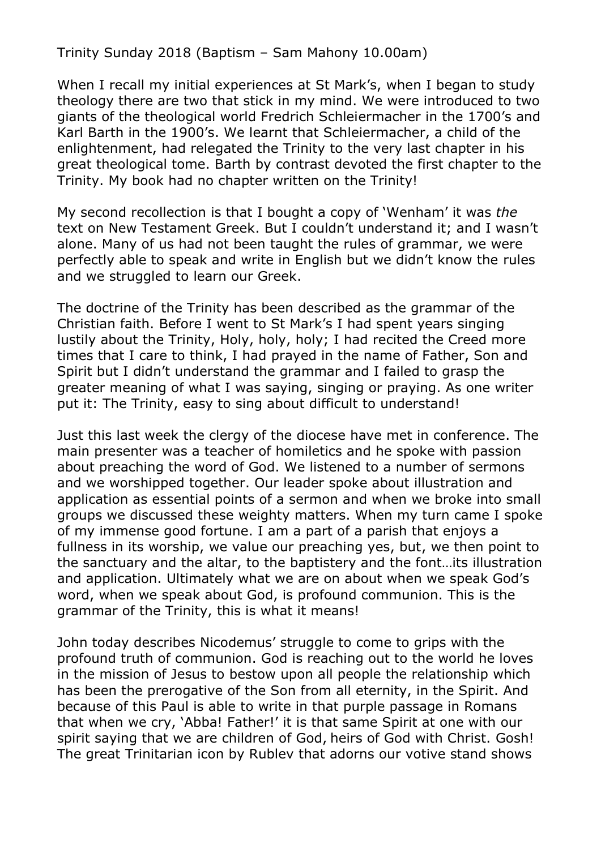Trinity Sunday 2018 (Baptism – Sam Mahony 10.00am)

When I recall my initial experiences at St Mark's, when I began to study theology there are two that stick in my mind. We were introduced to two giants of the theological world Fredrich Schleiermacher in the 1700's and Karl Barth in the 1900's. We learnt that Schleiermacher, a child of the enlightenment, had relegated the Trinity to the very last chapter in his great theological tome. Barth by contrast devoted the first chapter to the Trinity. My book had no chapter written on the Trinity!

My second recollection is that I bought a copy of 'Wenham' it was *the* text on New Testament Greek. But I couldn't understand it; and I wasn't alone. Many of us had not been taught the rules of grammar, we were perfectly able to speak and write in English but we didn't know the rules and we struggled to learn our Greek.

The doctrine of the Trinity has been described as the grammar of the Christian faith. Before I went to St Mark's I had spent years singing lustily about the Trinity, Holy, holy, holy; I had recited the Creed more times that I care to think, I had prayed in the name of Father, Son and Spirit but I didn't understand the grammar and I failed to grasp the greater meaning of what I was saying, singing or praying. As one writer put it: The Trinity, easy to sing about difficult to understand!

Just this last week the clergy of the diocese have met in conference. The main presenter was a teacher of homiletics and he spoke with passion about preaching the word of God. We listened to a number of sermons and we worshipped together. Our leader spoke about illustration and application as essential points of a sermon and when we broke into small groups we discussed these weighty matters. When my turn came I spoke of my immense good fortune. I am a part of a parish that enjoys a fullness in its worship, we value our preaching yes, but, we then point to the sanctuary and the altar, to the baptistery and the font…its illustration and application. Ultimately what we are on about when we speak God's word, when we speak about God, is profound communion. This is the grammar of the Trinity, this is what it means!

John today describes Nicodemus' struggle to come to grips with the profound truth of communion. God is reaching out to the world he loves in the mission of Jesus to bestow upon all people the relationship which has been the prerogative of the Son from all eternity, in the Spirit. And because of this Paul is able to write in that purple passage in Romans that when we cry, 'Abba! Father!' it is that same Spirit at one with our spirit saying that we are children of God, heirs of God with Christ. Gosh! The great Trinitarian icon by Rublev that adorns our votive stand shows